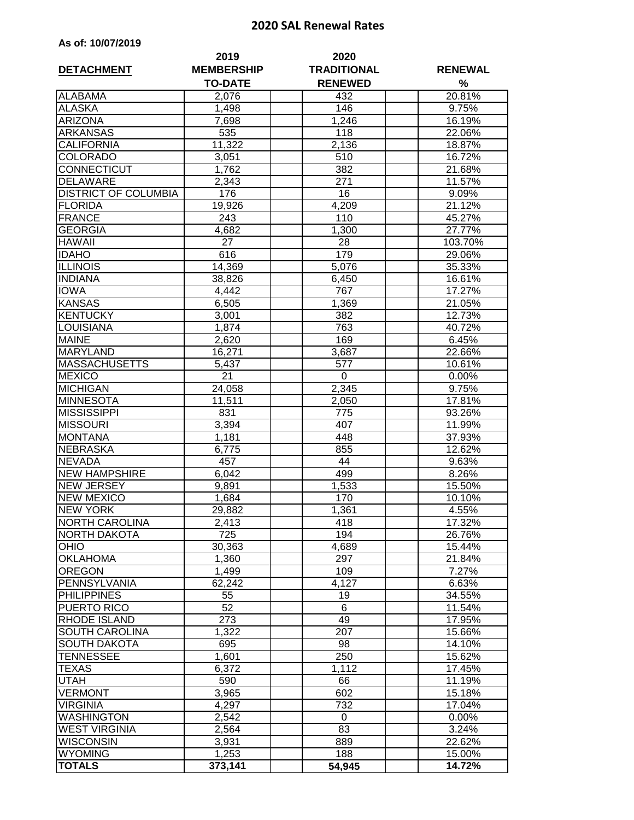## **2020 SAL Renewal Rates**

| As of: 10/07/2019 |  |  |  |  |
|-------------------|--|--|--|--|
|-------------------|--|--|--|--|

| <b>TO-DATE</b><br>%<br><b>RENEWED</b><br><b>ALABAMA</b><br>432<br>20.81%<br>2,076<br><b>ALASKA</b><br>146<br>9.75%<br>1,498<br><b>ARIZONA</b><br>1,246<br>16.19%<br>7,698<br><b>ARKANSAS</b><br>535<br>118<br>22.06%<br><b>CALIFORNIA</b><br>11,322<br>2,136<br>18.87%<br><b>COLORADO</b><br>3,051<br>510<br>16.72%<br>382<br>CONNECTICUT<br>1,762<br>21.68%<br><b>DELAWARE</b><br>2,343<br>271<br>11.57%<br><b>DISTRICT OF COLUMBIA</b><br>$\overline{16}$<br>176<br>9.09%<br>19,926<br>4,209<br>21.12%<br><b>FLORIDA</b><br><b>FRANCE</b><br>243<br>110<br>45.27%<br><b>GEORGIA</b><br>27.77%<br>4,682<br>1,300<br><b>HAWAII</b><br>27<br>28<br>103.70%<br><b>IDAHO</b><br>616<br>179<br>29.06%<br>35.33%<br><b>ILLINOIS</b><br>14,369<br>5,076<br><b>INDIANA</b><br>38,826<br>16.61%<br>6,450<br><b>IOWA</b><br>4,442<br>767<br>17.27%<br><b>KANSAS</b><br>6,505<br>1,369<br>21.05%<br><b>KENTUCKY</b><br>3,001<br>382<br>12.73%<br>LOUISIANA<br>1,874<br>40.72%<br>763<br><b>MAINE</b><br>2,620<br>169<br>6.45%<br>22.66%<br><b>MARYLAND</b><br>16,271<br>3,687<br><b>MASSACHUSETTS</b><br>10.61%<br>5,437<br>577<br>$\overline{21}$<br><b>MEXICO</b><br>0<br>0.00%<br><b>MICHIGAN</b><br>9.75%<br>24,058<br>2,345<br><b>MINNESOTA</b><br>11,511<br>$17.81\%$<br>2,050<br><b>MISSISSIPPI</b><br>93.26%<br>831<br>775<br><b>MISSOURI</b><br>3,394<br>11.99%<br>407<br>37.93%<br><b>MONTANA</b><br>1,181<br>448<br><b>NEBRASKA</b><br>855<br>12.62%<br>6,775<br><b>NEVADA</b><br>457<br>44<br>9.63%<br><b>NEW HAMPSHIRE</b><br>499<br>6,042<br>8.26%<br><b>NEW JERSEY</b><br>1,533<br>9,891<br>15.50%<br><b>NEW MEXICO</b><br>1,684<br>170<br>10.10%<br><b>NEW YORK</b><br>1,361<br>4.55%<br>29,882<br><b>NORTH CAROLINA</b><br>418<br>17.32%<br>2,413<br>725<br>194<br>NORTH DAKOTA<br>26.76%<br><b>OHIO</b><br>30,363<br>15.44%<br>4,689<br><b>OKLAHOMA</b><br>297<br>1,360<br>21.84%<br><b>OREGON</b><br>1,499<br>109<br>7.27%<br>PENNSYLVANIA<br>62,242<br>4,127<br>6.63%<br><b>PHILIPPINES</b><br>34.55%<br>19<br>55<br>52<br>PUERTO RICO<br>6<br>11.54%<br>RHODE ISLAND<br>273<br>49<br>17.95%<br>SOUTH CAROLINA<br>1,322<br>207<br>15.66%<br><b>SOUTH DAKOTA</b><br>98<br>14.10%<br>695<br>TENNESSEE<br>250<br>15.62%<br>1,601<br>TEXAS<br>6,372<br>1,112<br>17.45%<br>UTAH<br>590<br>66<br>11.19%<br><b>VERMONT</b><br>3,965<br>602<br>15.18%<br><b>VIRGINIA</b><br>732<br>4,297<br>17.04%<br><b>WASHINGTON</b><br>2,542<br>0<br>0.00%<br><b>WEST VIRGINIA</b><br>83<br>3.24%<br>2,564<br><b>WISCONSIN</b><br>889<br>22.62%<br>3,931<br><b>WYOMING</b><br>1,253<br>188<br>15.00%<br><b>TOTALS</b><br>373,141<br>14.72%<br>54,945 | <b>DETACHMENT</b> | 2019<br><b>MEMBERSHIP</b> | 2020<br><b>TRADITIONAL</b> | <b>RENEWAL</b> |
|--------------------------------------------------------------------------------------------------------------------------------------------------------------------------------------------------------------------------------------------------------------------------------------------------------------------------------------------------------------------------------------------------------------------------------------------------------------------------------------------------------------------------------------------------------------------------------------------------------------------------------------------------------------------------------------------------------------------------------------------------------------------------------------------------------------------------------------------------------------------------------------------------------------------------------------------------------------------------------------------------------------------------------------------------------------------------------------------------------------------------------------------------------------------------------------------------------------------------------------------------------------------------------------------------------------------------------------------------------------------------------------------------------------------------------------------------------------------------------------------------------------------------------------------------------------------------------------------------------------------------------------------------------------------------------------------------------------------------------------------------------------------------------------------------------------------------------------------------------------------------------------------------------------------------------------------------------------------------------------------------------------------------------------------------------------------------------------------------------------------------------------------------------------------------------------------------------------------------------------------------------------------------------------------------------------------------------------------------------------------------------------------------------------------------------------------------------------------------------------------------------------------------------------------------------------------------------------------------------------------------------------------|-------------------|---------------------------|----------------------------|----------------|
|                                                                                                                                                                                                                                                                                                                                                                                                                                                                                                                                                                                                                                                                                                                                                                                                                                                                                                                                                                                                                                                                                                                                                                                                                                                                                                                                                                                                                                                                                                                                                                                                                                                                                                                                                                                                                                                                                                                                                                                                                                                                                                                                                                                                                                                                                                                                                                                                                                                                                                                                                                                                                                            |                   |                           |                            |                |
|                                                                                                                                                                                                                                                                                                                                                                                                                                                                                                                                                                                                                                                                                                                                                                                                                                                                                                                                                                                                                                                                                                                                                                                                                                                                                                                                                                                                                                                                                                                                                                                                                                                                                                                                                                                                                                                                                                                                                                                                                                                                                                                                                                                                                                                                                                                                                                                                                                                                                                                                                                                                                                            |                   |                           |                            |                |
|                                                                                                                                                                                                                                                                                                                                                                                                                                                                                                                                                                                                                                                                                                                                                                                                                                                                                                                                                                                                                                                                                                                                                                                                                                                                                                                                                                                                                                                                                                                                                                                                                                                                                                                                                                                                                                                                                                                                                                                                                                                                                                                                                                                                                                                                                                                                                                                                                                                                                                                                                                                                                                            |                   |                           |                            |                |
|                                                                                                                                                                                                                                                                                                                                                                                                                                                                                                                                                                                                                                                                                                                                                                                                                                                                                                                                                                                                                                                                                                                                                                                                                                                                                                                                                                                                                                                                                                                                                                                                                                                                                                                                                                                                                                                                                                                                                                                                                                                                                                                                                                                                                                                                                                                                                                                                                                                                                                                                                                                                                                            |                   |                           |                            |                |
|                                                                                                                                                                                                                                                                                                                                                                                                                                                                                                                                                                                                                                                                                                                                                                                                                                                                                                                                                                                                                                                                                                                                                                                                                                                                                                                                                                                                                                                                                                                                                                                                                                                                                                                                                                                                                                                                                                                                                                                                                                                                                                                                                                                                                                                                                                                                                                                                                                                                                                                                                                                                                                            |                   |                           |                            |                |
|                                                                                                                                                                                                                                                                                                                                                                                                                                                                                                                                                                                                                                                                                                                                                                                                                                                                                                                                                                                                                                                                                                                                                                                                                                                                                                                                                                                                                                                                                                                                                                                                                                                                                                                                                                                                                                                                                                                                                                                                                                                                                                                                                                                                                                                                                                                                                                                                                                                                                                                                                                                                                                            |                   |                           |                            |                |
|                                                                                                                                                                                                                                                                                                                                                                                                                                                                                                                                                                                                                                                                                                                                                                                                                                                                                                                                                                                                                                                                                                                                                                                                                                                                                                                                                                                                                                                                                                                                                                                                                                                                                                                                                                                                                                                                                                                                                                                                                                                                                                                                                                                                                                                                                                                                                                                                                                                                                                                                                                                                                                            |                   |                           |                            |                |
|                                                                                                                                                                                                                                                                                                                                                                                                                                                                                                                                                                                                                                                                                                                                                                                                                                                                                                                                                                                                                                                                                                                                                                                                                                                                                                                                                                                                                                                                                                                                                                                                                                                                                                                                                                                                                                                                                                                                                                                                                                                                                                                                                                                                                                                                                                                                                                                                                                                                                                                                                                                                                                            |                   |                           |                            |                |
|                                                                                                                                                                                                                                                                                                                                                                                                                                                                                                                                                                                                                                                                                                                                                                                                                                                                                                                                                                                                                                                                                                                                                                                                                                                                                                                                                                                                                                                                                                                                                                                                                                                                                                                                                                                                                                                                                                                                                                                                                                                                                                                                                                                                                                                                                                                                                                                                                                                                                                                                                                                                                                            |                   |                           |                            |                |
|                                                                                                                                                                                                                                                                                                                                                                                                                                                                                                                                                                                                                                                                                                                                                                                                                                                                                                                                                                                                                                                                                                                                                                                                                                                                                                                                                                                                                                                                                                                                                                                                                                                                                                                                                                                                                                                                                                                                                                                                                                                                                                                                                                                                                                                                                                                                                                                                                                                                                                                                                                                                                                            |                   |                           |                            |                |
|                                                                                                                                                                                                                                                                                                                                                                                                                                                                                                                                                                                                                                                                                                                                                                                                                                                                                                                                                                                                                                                                                                                                                                                                                                                                                                                                                                                                                                                                                                                                                                                                                                                                                                                                                                                                                                                                                                                                                                                                                                                                                                                                                                                                                                                                                                                                                                                                                                                                                                                                                                                                                                            |                   |                           |                            |                |
|                                                                                                                                                                                                                                                                                                                                                                                                                                                                                                                                                                                                                                                                                                                                                                                                                                                                                                                                                                                                                                                                                                                                                                                                                                                                                                                                                                                                                                                                                                                                                                                                                                                                                                                                                                                                                                                                                                                                                                                                                                                                                                                                                                                                                                                                                                                                                                                                                                                                                                                                                                                                                                            |                   |                           |                            |                |
|                                                                                                                                                                                                                                                                                                                                                                                                                                                                                                                                                                                                                                                                                                                                                                                                                                                                                                                                                                                                                                                                                                                                                                                                                                                                                                                                                                                                                                                                                                                                                                                                                                                                                                                                                                                                                                                                                                                                                                                                                                                                                                                                                                                                                                                                                                                                                                                                                                                                                                                                                                                                                                            |                   |                           |                            |                |
|                                                                                                                                                                                                                                                                                                                                                                                                                                                                                                                                                                                                                                                                                                                                                                                                                                                                                                                                                                                                                                                                                                                                                                                                                                                                                                                                                                                                                                                                                                                                                                                                                                                                                                                                                                                                                                                                                                                                                                                                                                                                                                                                                                                                                                                                                                                                                                                                                                                                                                                                                                                                                                            |                   |                           |                            |                |
|                                                                                                                                                                                                                                                                                                                                                                                                                                                                                                                                                                                                                                                                                                                                                                                                                                                                                                                                                                                                                                                                                                                                                                                                                                                                                                                                                                                                                                                                                                                                                                                                                                                                                                                                                                                                                                                                                                                                                                                                                                                                                                                                                                                                                                                                                                                                                                                                                                                                                                                                                                                                                                            |                   |                           |                            |                |
|                                                                                                                                                                                                                                                                                                                                                                                                                                                                                                                                                                                                                                                                                                                                                                                                                                                                                                                                                                                                                                                                                                                                                                                                                                                                                                                                                                                                                                                                                                                                                                                                                                                                                                                                                                                                                                                                                                                                                                                                                                                                                                                                                                                                                                                                                                                                                                                                                                                                                                                                                                                                                                            |                   |                           |                            |                |
|                                                                                                                                                                                                                                                                                                                                                                                                                                                                                                                                                                                                                                                                                                                                                                                                                                                                                                                                                                                                                                                                                                                                                                                                                                                                                                                                                                                                                                                                                                                                                                                                                                                                                                                                                                                                                                                                                                                                                                                                                                                                                                                                                                                                                                                                                                                                                                                                                                                                                                                                                                                                                                            |                   |                           |                            |                |
|                                                                                                                                                                                                                                                                                                                                                                                                                                                                                                                                                                                                                                                                                                                                                                                                                                                                                                                                                                                                                                                                                                                                                                                                                                                                                                                                                                                                                                                                                                                                                                                                                                                                                                                                                                                                                                                                                                                                                                                                                                                                                                                                                                                                                                                                                                                                                                                                                                                                                                                                                                                                                                            |                   |                           |                            |                |
|                                                                                                                                                                                                                                                                                                                                                                                                                                                                                                                                                                                                                                                                                                                                                                                                                                                                                                                                                                                                                                                                                                                                                                                                                                                                                                                                                                                                                                                                                                                                                                                                                                                                                                                                                                                                                                                                                                                                                                                                                                                                                                                                                                                                                                                                                                                                                                                                                                                                                                                                                                                                                                            |                   |                           |                            |                |
|                                                                                                                                                                                                                                                                                                                                                                                                                                                                                                                                                                                                                                                                                                                                                                                                                                                                                                                                                                                                                                                                                                                                                                                                                                                                                                                                                                                                                                                                                                                                                                                                                                                                                                                                                                                                                                                                                                                                                                                                                                                                                                                                                                                                                                                                                                                                                                                                                                                                                                                                                                                                                                            |                   |                           |                            |                |
|                                                                                                                                                                                                                                                                                                                                                                                                                                                                                                                                                                                                                                                                                                                                                                                                                                                                                                                                                                                                                                                                                                                                                                                                                                                                                                                                                                                                                                                                                                                                                                                                                                                                                                                                                                                                                                                                                                                                                                                                                                                                                                                                                                                                                                                                                                                                                                                                                                                                                                                                                                                                                                            |                   |                           |                            |                |
|                                                                                                                                                                                                                                                                                                                                                                                                                                                                                                                                                                                                                                                                                                                                                                                                                                                                                                                                                                                                                                                                                                                                                                                                                                                                                                                                                                                                                                                                                                                                                                                                                                                                                                                                                                                                                                                                                                                                                                                                                                                                                                                                                                                                                                                                                                                                                                                                                                                                                                                                                                                                                                            |                   |                           |                            |                |
|                                                                                                                                                                                                                                                                                                                                                                                                                                                                                                                                                                                                                                                                                                                                                                                                                                                                                                                                                                                                                                                                                                                                                                                                                                                                                                                                                                                                                                                                                                                                                                                                                                                                                                                                                                                                                                                                                                                                                                                                                                                                                                                                                                                                                                                                                                                                                                                                                                                                                                                                                                                                                                            |                   |                           |                            |                |
|                                                                                                                                                                                                                                                                                                                                                                                                                                                                                                                                                                                                                                                                                                                                                                                                                                                                                                                                                                                                                                                                                                                                                                                                                                                                                                                                                                                                                                                                                                                                                                                                                                                                                                                                                                                                                                                                                                                                                                                                                                                                                                                                                                                                                                                                                                                                                                                                                                                                                                                                                                                                                                            |                   |                           |                            |                |
|                                                                                                                                                                                                                                                                                                                                                                                                                                                                                                                                                                                                                                                                                                                                                                                                                                                                                                                                                                                                                                                                                                                                                                                                                                                                                                                                                                                                                                                                                                                                                                                                                                                                                                                                                                                                                                                                                                                                                                                                                                                                                                                                                                                                                                                                                                                                                                                                                                                                                                                                                                                                                                            |                   |                           |                            |                |
|                                                                                                                                                                                                                                                                                                                                                                                                                                                                                                                                                                                                                                                                                                                                                                                                                                                                                                                                                                                                                                                                                                                                                                                                                                                                                                                                                                                                                                                                                                                                                                                                                                                                                                                                                                                                                                                                                                                                                                                                                                                                                                                                                                                                                                                                                                                                                                                                                                                                                                                                                                                                                                            |                   |                           |                            |                |
|                                                                                                                                                                                                                                                                                                                                                                                                                                                                                                                                                                                                                                                                                                                                                                                                                                                                                                                                                                                                                                                                                                                                                                                                                                                                                                                                                                                                                                                                                                                                                                                                                                                                                                                                                                                                                                                                                                                                                                                                                                                                                                                                                                                                                                                                                                                                                                                                                                                                                                                                                                                                                                            |                   |                           |                            |                |
|                                                                                                                                                                                                                                                                                                                                                                                                                                                                                                                                                                                                                                                                                                                                                                                                                                                                                                                                                                                                                                                                                                                                                                                                                                                                                                                                                                                                                                                                                                                                                                                                                                                                                                                                                                                                                                                                                                                                                                                                                                                                                                                                                                                                                                                                                                                                                                                                                                                                                                                                                                                                                                            |                   |                           |                            |                |
|                                                                                                                                                                                                                                                                                                                                                                                                                                                                                                                                                                                                                                                                                                                                                                                                                                                                                                                                                                                                                                                                                                                                                                                                                                                                                                                                                                                                                                                                                                                                                                                                                                                                                                                                                                                                                                                                                                                                                                                                                                                                                                                                                                                                                                                                                                                                                                                                                                                                                                                                                                                                                                            |                   |                           |                            |                |
|                                                                                                                                                                                                                                                                                                                                                                                                                                                                                                                                                                                                                                                                                                                                                                                                                                                                                                                                                                                                                                                                                                                                                                                                                                                                                                                                                                                                                                                                                                                                                                                                                                                                                                                                                                                                                                                                                                                                                                                                                                                                                                                                                                                                                                                                                                                                                                                                                                                                                                                                                                                                                                            |                   |                           |                            |                |
|                                                                                                                                                                                                                                                                                                                                                                                                                                                                                                                                                                                                                                                                                                                                                                                                                                                                                                                                                                                                                                                                                                                                                                                                                                                                                                                                                                                                                                                                                                                                                                                                                                                                                                                                                                                                                                                                                                                                                                                                                                                                                                                                                                                                                                                                                                                                                                                                                                                                                                                                                                                                                                            |                   |                           |                            |                |
|                                                                                                                                                                                                                                                                                                                                                                                                                                                                                                                                                                                                                                                                                                                                                                                                                                                                                                                                                                                                                                                                                                                                                                                                                                                                                                                                                                                                                                                                                                                                                                                                                                                                                                                                                                                                                                                                                                                                                                                                                                                                                                                                                                                                                                                                                                                                                                                                                                                                                                                                                                                                                                            |                   |                           |                            |                |
|                                                                                                                                                                                                                                                                                                                                                                                                                                                                                                                                                                                                                                                                                                                                                                                                                                                                                                                                                                                                                                                                                                                                                                                                                                                                                                                                                                                                                                                                                                                                                                                                                                                                                                                                                                                                                                                                                                                                                                                                                                                                                                                                                                                                                                                                                                                                                                                                                                                                                                                                                                                                                                            |                   |                           |                            |                |
|                                                                                                                                                                                                                                                                                                                                                                                                                                                                                                                                                                                                                                                                                                                                                                                                                                                                                                                                                                                                                                                                                                                                                                                                                                                                                                                                                                                                                                                                                                                                                                                                                                                                                                                                                                                                                                                                                                                                                                                                                                                                                                                                                                                                                                                                                                                                                                                                                                                                                                                                                                                                                                            |                   |                           |                            |                |
|                                                                                                                                                                                                                                                                                                                                                                                                                                                                                                                                                                                                                                                                                                                                                                                                                                                                                                                                                                                                                                                                                                                                                                                                                                                                                                                                                                                                                                                                                                                                                                                                                                                                                                                                                                                                                                                                                                                                                                                                                                                                                                                                                                                                                                                                                                                                                                                                                                                                                                                                                                                                                                            |                   |                           |                            |                |
|                                                                                                                                                                                                                                                                                                                                                                                                                                                                                                                                                                                                                                                                                                                                                                                                                                                                                                                                                                                                                                                                                                                                                                                                                                                                                                                                                                                                                                                                                                                                                                                                                                                                                                                                                                                                                                                                                                                                                                                                                                                                                                                                                                                                                                                                                                                                                                                                                                                                                                                                                                                                                                            |                   |                           |                            |                |
|                                                                                                                                                                                                                                                                                                                                                                                                                                                                                                                                                                                                                                                                                                                                                                                                                                                                                                                                                                                                                                                                                                                                                                                                                                                                                                                                                                                                                                                                                                                                                                                                                                                                                                                                                                                                                                                                                                                                                                                                                                                                                                                                                                                                                                                                                                                                                                                                                                                                                                                                                                                                                                            |                   |                           |                            |                |
|                                                                                                                                                                                                                                                                                                                                                                                                                                                                                                                                                                                                                                                                                                                                                                                                                                                                                                                                                                                                                                                                                                                                                                                                                                                                                                                                                                                                                                                                                                                                                                                                                                                                                                                                                                                                                                                                                                                                                                                                                                                                                                                                                                                                                                                                                                                                                                                                                                                                                                                                                                                                                                            |                   |                           |                            |                |
|                                                                                                                                                                                                                                                                                                                                                                                                                                                                                                                                                                                                                                                                                                                                                                                                                                                                                                                                                                                                                                                                                                                                                                                                                                                                                                                                                                                                                                                                                                                                                                                                                                                                                                                                                                                                                                                                                                                                                                                                                                                                                                                                                                                                                                                                                                                                                                                                                                                                                                                                                                                                                                            |                   |                           |                            |                |
|                                                                                                                                                                                                                                                                                                                                                                                                                                                                                                                                                                                                                                                                                                                                                                                                                                                                                                                                                                                                                                                                                                                                                                                                                                                                                                                                                                                                                                                                                                                                                                                                                                                                                                                                                                                                                                                                                                                                                                                                                                                                                                                                                                                                                                                                                                                                                                                                                                                                                                                                                                                                                                            |                   |                           |                            |                |
|                                                                                                                                                                                                                                                                                                                                                                                                                                                                                                                                                                                                                                                                                                                                                                                                                                                                                                                                                                                                                                                                                                                                                                                                                                                                                                                                                                                                                                                                                                                                                                                                                                                                                                                                                                                                                                                                                                                                                                                                                                                                                                                                                                                                                                                                                                                                                                                                                                                                                                                                                                                                                                            |                   |                           |                            |                |
|                                                                                                                                                                                                                                                                                                                                                                                                                                                                                                                                                                                                                                                                                                                                                                                                                                                                                                                                                                                                                                                                                                                                                                                                                                                                                                                                                                                                                                                                                                                                                                                                                                                                                                                                                                                                                                                                                                                                                                                                                                                                                                                                                                                                                                                                                                                                                                                                                                                                                                                                                                                                                                            |                   |                           |                            |                |
|                                                                                                                                                                                                                                                                                                                                                                                                                                                                                                                                                                                                                                                                                                                                                                                                                                                                                                                                                                                                                                                                                                                                                                                                                                                                                                                                                                                                                                                                                                                                                                                                                                                                                                                                                                                                                                                                                                                                                                                                                                                                                                                                                                                                                                                                                                                                                                                                                                                                                                                                                                                                                                            |                   |                           |                            |                |
|                                                                                                                                                                                                                                                                                                                                                                                                                                                                                                                                                                                                                                                                                                                                                                                                                                                                                                                                                                                                                                                                                                                                                                                                                                                                                                                                                                                                                                                                                                                                                                                                                                                                                                                                                                                                                                                                                                                                                                                                                                                                                                                                                                                                                                                                                                                                                                                                                                                                                                                                                                                                                                            |                   |                           |                            |                |
|                                                                                                                                                                                                                                                                                                                                                                                                                                                                                                                                                                                                                                                                                                                                                                                                                                                                                                                                                                                                                                                                                                                                                                                                                                                                                                                                                                                                                                                                                                                                                                                                                                                                                                                                                                                                                                                                                                                                                                                                                                                                                                                                                                                                                                                                                                                                                                                                                                                                                                                                                                                                                                            |                   |                           |                            |                |
|                                                                                                                                                                                                                                                                                                                                                                                                                                                                                                                                                                                                                                                                                                                                                                                                                                                                                                                                                                                                                                                                                                                                                                                                                                                                                                                                                                                                                                                                                                                                                                                                                                                                                                                                                                                                                                                                                                                                                                                                                                                                                                                                                                                                                                                                                                                                                                                                                                                                                                                                                                                                                                            |                   |                           |                            |                |
|                                                                                                                                                                                                                                                                                                                                                                                                                                                                                                                                                                                                                                                                                                                                                                                                                                                                                                                                                                                                                                                                                                                                                                                                                                                                                                                                                                                                                                                                                                                                                                                                                                                                                                                                                                                                                                                                                                                                                                                                                                                                                                                                                                                                                                                                                                                                                                                                                                                                                                                                                                                                                                            |                   |                           |                            |                |
|                                                                                                                                                                                                                                                                                                                                                                                                                                                                                                                                                                                                                                                                                                                                                                                                                                                                                                                                                                                                                                                                                                                                                                                                                                                                                                                                                                                                                                                                                                                                                                                                                                                                                                                                                                                                                                                                                                                                                                                                                                                                                                                                                                                                                                                                                                                                                                                                                                                                                                                                                                                                                                            |                   |                           |                            |                |
|                                                                                                                                                                                                                                                                                                                                                                                                                                                                                                                                                                                                                                                                                                                                                                                                                                                                                                                                                                                                                                                                                                                                                                                                                                                                                                                                                                                                                                                                                                                                                                                                                                                                                                                                                                                                                                                                                                                                                                                                                                                                                                                                                                                                                                                                                                                                                                                                                                                                                                                                                                                                                                            |                   |                           |                            |                |
|                                                                                                                                                                                                                                                                                                                                                                                                                                                                                                                                                                                                                                                                                                                                                                                                                                                                                                                                                                                                                                                                                                                                                                                                                                                                                                                                                                                                                                                                                                                                                                                                                                                                                                                                                                                                                                                                                                                                                                                                                                                                                                                                                                                                                                                                                                                                                                                                                                                                                                                                                                                                                                            |                   |                           |                            |                |
|                                                                                                                                                                                                                                                                                                                                                                                                                                                                                                                                                                                                                                                                                                                                                                                                                                                                                                                                                                                                                                                                                                                                                                                                                                                                                                                                                                                                                                                                                                                                                                                                                                                                                                                                                                                                                                                                                                                                                                                                                                                                                                                                                                                                                                                                                                                                                                                                                                                                                                                                                                                                                                            |                   |                           |                            |                |
|                                                                                                                                                                                                                                                                                                                                                                                                                                                                                                                                                                                                                                                                                                                                                                                                                                                                                                                                                                                                                                                                                                                                                                                                                                                                                                                                                                                                                                                                                                                                                                                                                                                                                                                                                                                                                                                                                                                                                                                                                                                                                                                                                                                                                                                                                                                                                                                                                                                                                                                                                                                                                                            |                   |                           |                            |                |
|                                                                                                                                                                                                                                                                                                                                                                                                                                                                                                                                                                                                                                                                                                                                                                                                                                                                                                                                                                                                                                                                                                                                                                                                                                                                                                                                                                                                                                                                                                                                                                                                                                                                                                                                                                                                                                                                                                                                                                                                                                                                                                                                                                                                                                                                                                                                                                                                                                                                                                                                                                                                                                            |                   |                           |                            |                |
|                                                                                                                                                                                                                                                                                                                                                                                                                                                                                                                                                                                                                                                                                                                                                                                                                                                                                                                                                                                                                                                                                                                                                                                                                                                                                                                                                                                                                                                                                                                                                                                                                                                                                                                                                                                                                                                                                                                                                                                                                                                                                                                                                                                                                                                                                                                                                                                                                                                                                                                                                                                                                                            |                   |                           |                            |                |
|                                                                                                                                                                                                                                                                                                                                                                                                                                                                                                                                                                                                                                                                                                                                                                                                                                                                                                                                                                                                                                                                                                                                                                                                                                                                                                                                                                                                                                                                                                                                                                                                                                                                                                                                                                                                                                                                                                                                                                                                                                                                                                                                                                                                                                                                                                                                                                                                                                                                                                                                                                                                                                            |                   |                           |                            |                |
|                                                                                                                                                                                                                                                                                                                                                                                                                                                                                                                                                                                                                                                                                                                                                                                                                                                                                                                                                                                                                                                                                                                                                                                                                                                                                                                                                                                                                                                                                                                                                                                                                                                                                                                                                                                                                                                                                                                                                                                                                                                                                                                                                                                                                                                                                                                                                                                                                                                                                                                                                                                                                                            |                   |                           |                            |                |